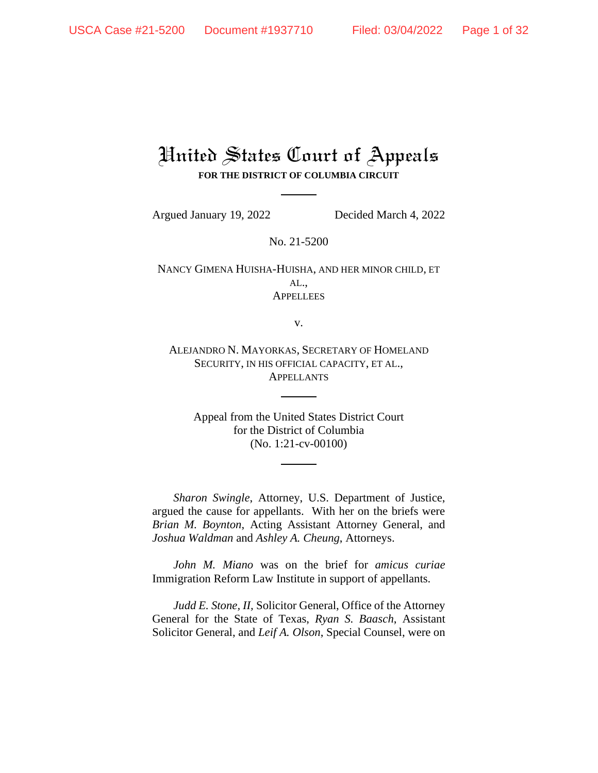# United States Court of Appeals **FOR THE DISTRICT OF COLUMBIA CIRCUIT**

Argued January 19, 2022 Decided March 4, 2022

No. 21-5200

NANCY GIMENA HUISHA-HUISHA, AND HER MINOR CHILD, ET AL., **APPELLEES** 

v.

ALEJANDRO N. MAYORKAS, SECRETARY OF HOMELAND SECURITY, IN HIS OFFICIAL CAPACITY, ET AL., **APPELLANTS** 

Appeal from the United States District Court for the District of Columbia (No. 1:21-cv-00100)

*Sharon Swingle*, Attorney, U.S. Department of Justice, argued the cause for appellants. With her on the briefs were *Brian M. Boynton*, Acting Assistant Attorney General, and *Joshua Waldman* and *Ashley A. Cheung*, Attorneys.

*John M. Miano* was on the brief for *amicus curiae* Immigration Reform Law Institute in support of appellants.

*Judd E. Stone, II,* Solicitor General, Office of the Attorney General for the State of Texas, *Ryan S. Baasch*, Assistant Solicitor General, and *Leif A. Olson*, Special Counsel, were on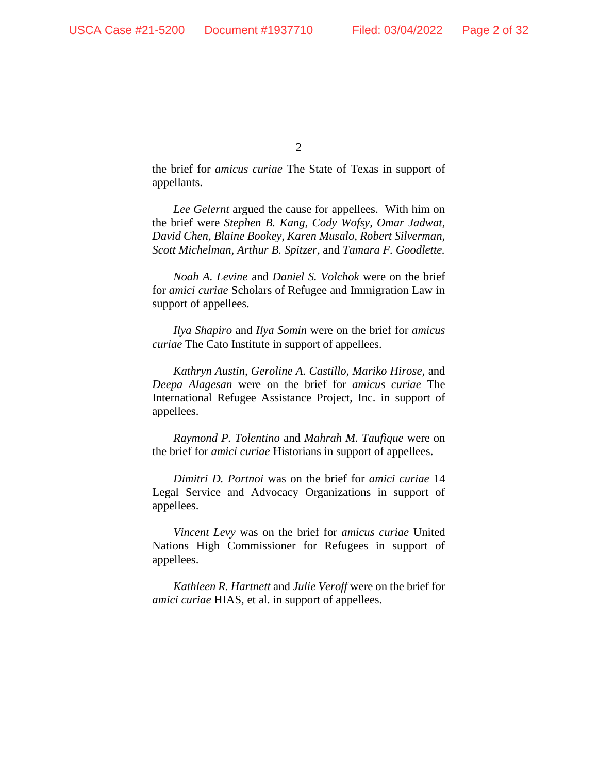the brief for *amicus curiae* The State of Texas in support of appellants.

*Lee Gelernt* argued the cause for appellees. With him on the brief were *Stephen B. Kang, Cody Wofsy, Omar Jadwat, David Chen, Blaine Bookey, Karen Musalo, Robert Silverman, Scott Michelman, Arthur B. Spitzer,* and *Tamara F. Goodlette.* 

*Noah A. Levine* and *Daniel S. Volchok* were on the brief for *amici curiae* Scholars of Refugee and Immigration Law in support of appellees.

*Ilya Shapiro* and *Ilya Somin* were on the brief for *amicus curiae* The Cato Institute in support of appellees.

*Kathryn Austin, Geroline A. Castillo, Mariko Hirose,* and *Deepa Alagesan* were on the brief for *amicus curiae* The International Refugee Assistance Project, Inc. in support of appellees.

*Raymond P. Tolentino* and *Mahrah M. Taufique* were on the brief for *amici curiae* Historians in support of appellees.

*Dimitri D. Portnoi* was on the brief for *amici curiae* 14 Legal Service and Advocacy Organizations in support of appellees.

*Vincent Levy* was on the brief for *amicus curiae* United Nations High Commissioner for Refugees in support of appellees.

*Kathleen R. Hartnett* and *Julie Veroff* were on the brief for *amici curiae* HIAS, et al. in support of appellees.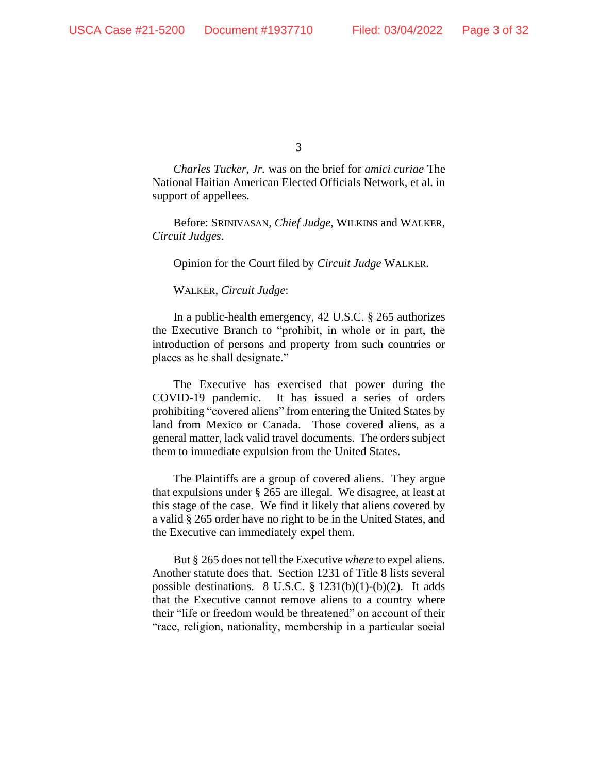*Charles Tucker, Jr.* was on the brief for *amici curiae* The National Haitian American Elected Officials Network, et al. in support of appellees.

Before: SRINIVASAN, *Chief Judge*, WILKINS and WALKER, *Circuit Judges*.

Opinion for the Court filed by *Circuit Judge* WALKER.

WALKER, *Circuit Judge*:

In a public-health emergency, 42 U.S.C. § 265 authorizes the Executive Branch to "prohibit, in whole or in part, the introduction of persons and property from such countries or places as he shall designate."

The Executive has exercised that power during the COVID-19 pandemic. It has issued a series of orders prohibiting "covered aliens" from entering the United States by land from Mexico or Canada. Those covered aliens, as a general matter, lack valid travel documents. The orders subject them to immediate expulsion from the United States.

The Plaintiffs are a group of covered aliens. They argue that expulsions under § 265 are illegal. We disagree, at least at this stage of the case. We find it likely that aliens covered by a valid § 265 order have no right to be in the United States, and the Executive can immediately expel them.

But § 265 does not tell the Executive *where* to expel aliens. Another statute does that. Section 1231 of Title 8 lists several possible destinations. 8 U.S.C. § 1231(b)(1)-(b)(2). It adds that the Executive cannot remove aliens to a country where their "life or freedom would be threatened" on account of their "race, religion, nationality, membership in a particular social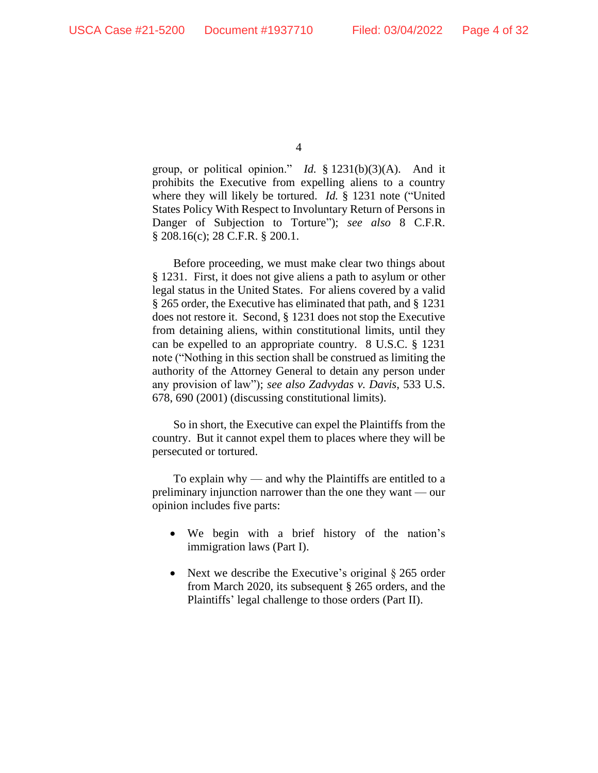group, or political opinion." *Id.* § 1231(b)(3)(A). And it prohibits the Executive from expelling aliens to a country where they will likely be tortured. *Id.* § 1231 note ("United States Policy With Respect to Involuntary Return of Persons in Danger of Subjection to Torture"); *see also* 8 C.F.R. § 208.16(c); 28 C.F.R. § 200.1.

Before proceeding, we must make clear two things about § 1231. First, it does not give aliens a path to asylum or other legal status in the United States. For aliens covered by a valid § 265 order, the Executive has eliminated that path, and § 1231 does not restore it. Second, § 1231 does not stop the Executive from detaining aliens, within constitutional limits, until they can be expelled to an appropriate country. 8 U.S.C. § 1231 note ("Nothing in this section shall be construed as limiting the authority of the Attorney General to detain any person under any provision of law"); *see also Zadvydas v. Davis*, 533 U.S. 678, 690 (2001) (discussing constitutional limits).

So in short, the Executive can expel the Plaintiffs from the country. But it cannot expel them to places where they will be persecuted or tortured.

To explain why — and why the Plaintiffs are entitled to a preliminary injunction narrower than the one they want — our opinion includes five parts:

- We begin with a brief history of the nation's immigration laws (Part I).
- Next we describe the Executive's original § 265 order from March 2020, its subsequent § 265 orders, and the Plaintiffs' legal challenge to those orders (Part II).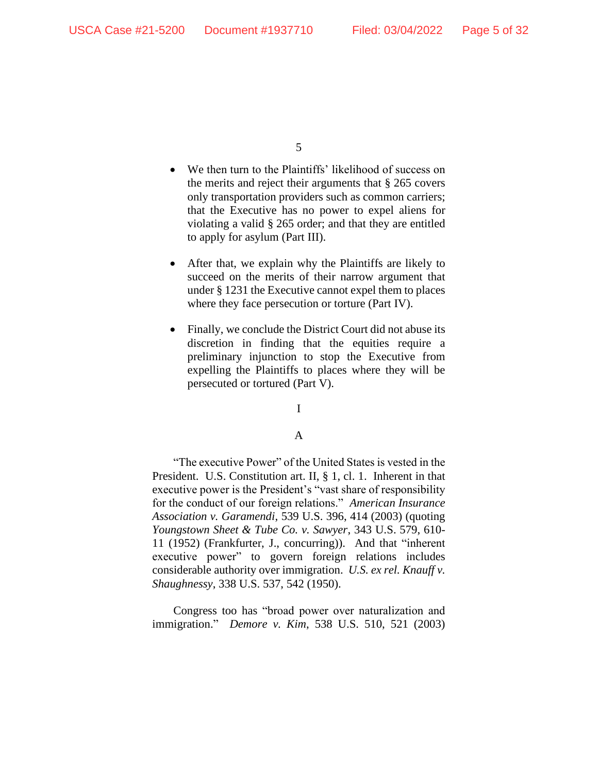- We then turn to the Plaintiffs' likelihood of success on the merits and reject their arguments that § 265 covers only transportation providers such as common carriers; that the Executive has no power to expel aliens for violating a valid § 265 order; and that they are entitled to apply for asylum (Part III).
- After that, we explain why the Plaintiffs are likely to succeed on the merits of their narrow argument that under § 1231 the Executive cannot expel them to places where they face persecution or torture (Part IV).
- Finally, we conclude the District Court did not abuse its discretion in finding that the equities require a preliminary injunction to stop the Executive from expelling the Plaintiffs to places where they will be persecuted or tortured (Part V).

# I

# A

"The executive Power" of the United States is vested in the President. U.S. Constitution art. II, § 1, cl. 1. Inherent in that executive power is the President's "vast share of responsibility for the conduct of our foreign relations." *American Insurance Association v. Garamendi*, 539 U.S. 396, 414 (2003) (quoting *Youngstown Sheet & Tube Co. v. Sawyer*, 343 U.S. 579, 610- 11 (1952) (Frankfurter, J., concurring)). And that "inherent executive power" to govern foreign relations includes considerable authority over immigration. *U.S. ex rel. Knauff v. Shaughnessy*, 338 U.S. 537, 542 (1950).

Congress too has "broad power over naturalization and immigration." *Demore v. Kim*, 538 U.S. 510, 521 (2003)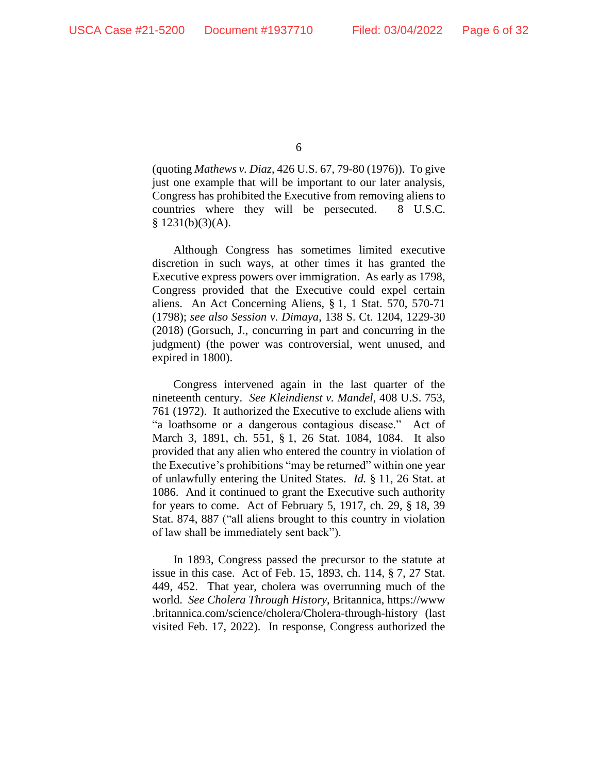(quoting *Mathews v. Diaz*, 426 U.S. 67, 79-80 (1976)). To give just one example that will be important to our later analysis, Congress has prohibited the Executive from removing aliens to countries where they will be persecuted. 8 U.S.C.  $$ 1231(b)(3)(A).$ 

Although Congress has sometimes limited executive discretion in such ways, at other times it has granted the Executive express powers over immigration. As early as 1798, Congress provided that the Executive could expel certain aliens. An Act Concerning Aliens, § 1, 1 Stat. 570, 570-71 (1798); *see also Session v. Dimaya*, 138 S. Ct. 1204, 1229-30 (2018) (Gorsuch, J., concurring in part and concurring in the judgment) (the power was controversial, went unused, and expired in 1800).

Congress intervened again in the last quarter of the nineteenth century. *See Kleindienst v. Mandel*, 408 U.S. 753, 761 (1972). It authorized the Executive to exclude aliens with "a loathsome or a dangerous contagious disease." Act of March 3, 1891, ch. 551, § 1, 26 Stat. 1084, 1084. It also provided that any alien who entered the country in violation of the Executive's prohibitions "may be returned" within one year of unlawfully entering the United States. *Id.* § 11, 26 Stat. at 1086. And it continued to grant the Executive such authority for years to come. Act of February 5, 1917, ch. 29, § 18, 39 Stat. 874, 887 ("all aliens brought to this country in violation of law shall be immediately sent back").

In 1893, Congress passed the precursor to the statute at issue in this case. Act of Feb. 15, 1893, ch. 114, § 7, 27 Stat. 449, 452. That year, cholera was overrunning much of the world. *See Cholera Through History*, Britannica, https://www .britannica.com/science/cholera/Cholera-through-history (last visited Feb. 17, 2022). In response, Congress authorized the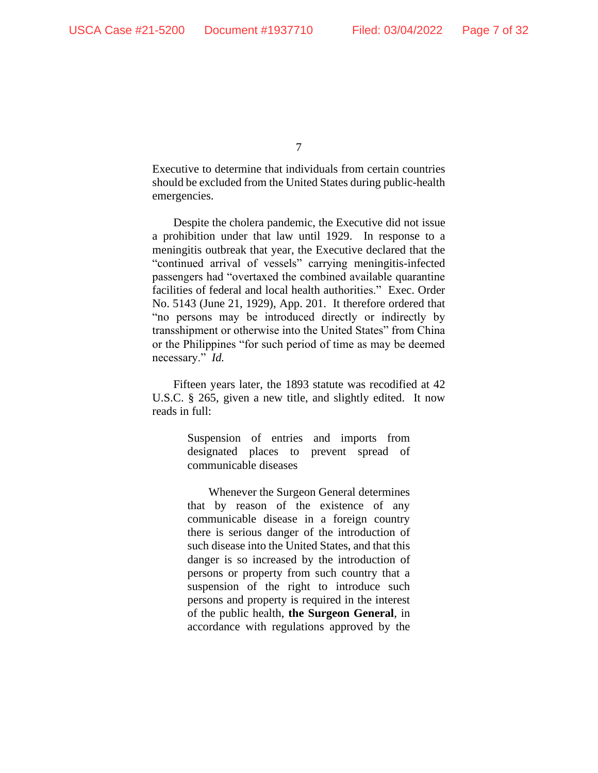Executive to determine that individuals from certain countries should be excluded from the United States during public-health emergencies.

Despite the cholera pandemic, the Executive did not issue a prohibition under that law until 1929. In response to a meningitis outbreak that year, the Executive declared that the "continued arrival of vessels" carrying meningitis-infected passengers had "overtaxed the combined available quarantine facilities of federal and local health authorities." Exec. Order No. 5143 (June 21, 1929), App. 201. It therefore ordered that "no persons may be introduced directly or indirectly by transshipment or otherwise into the United States" from China or the Philippines "for such period of time as may be deemed necessary." *Id.*

Fifteen years later, the 1893 statute was recodified at 42 U.S.C. § 265, given a new title, and slightly edited. It now reads in full:

> Suspension of entries and imports from designated places to prevent spread of communicable diseases

> Whenever the Surgeon General determines that by reason of the existence of any communicable disease in a foreign country there is serious danger of the introduction of such disease into the United States, and that this danger is so increased by the introduction of persons or property from such country that a suspension of the right to introduce such persons and property is required in the interest of the public health, **the Surgeon General**, in accordance with regulations approved by the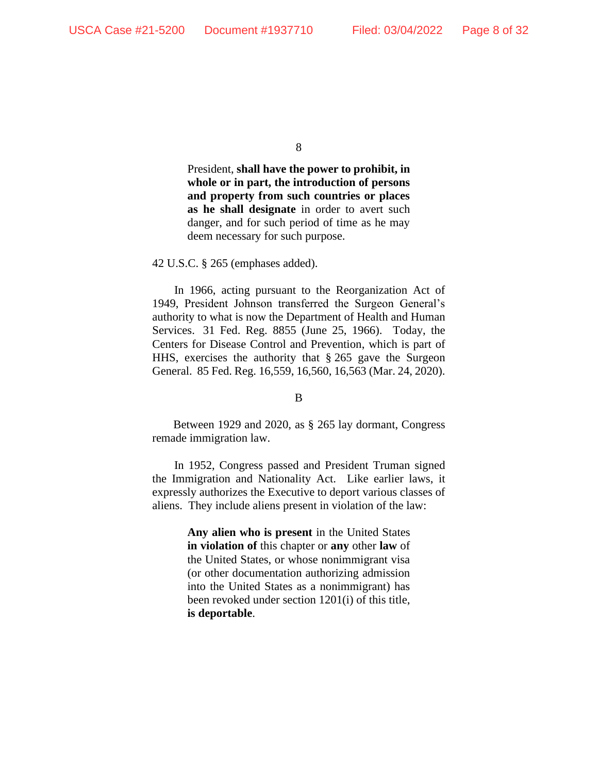President, **shall have the power to prohibit, in whole or in part, the introduction of persons and property from such countries or places as he shall designate** in order to avert such danger, and for such period of time as he may deem necessary for such purpose.

42 U.S.C. § 265 (emphases added).

In 1966, acting pursuant to the Reorganization Act of 1949, President Johnson transferred the Surgeon General's authority to what is now the Department of Health and Human Services. 31 Fed. Reg. 8855 (June 25, 1966). Today, the Centers for Disease Control and Prevention, which is part of HHS, exercises the authority that § 265 gave the Surgeon General. 85 Fed. Reg. 16,559, 16,560, 16,563 (Mar. 24, 2020).

B

Between 1929 and 2020, as § 265 lay dormant, Congress remade immigration law.

In 1952, Congress passed and President Truman signed the Immigration and Nationality Act. Like earlier laws, it expressly authorizes the Executive to deport various classes of aliens. They include aliens present in violation of the law:

> **Any alien who is present** in the United States **in violation of** this chapter or **any** other **law** of the United States, or whose nonimmigrant visa (or other documentation authorizing admission into the United States as a nonimmigrant) has been revoked under section 1201(i) of this title, **is deportable**.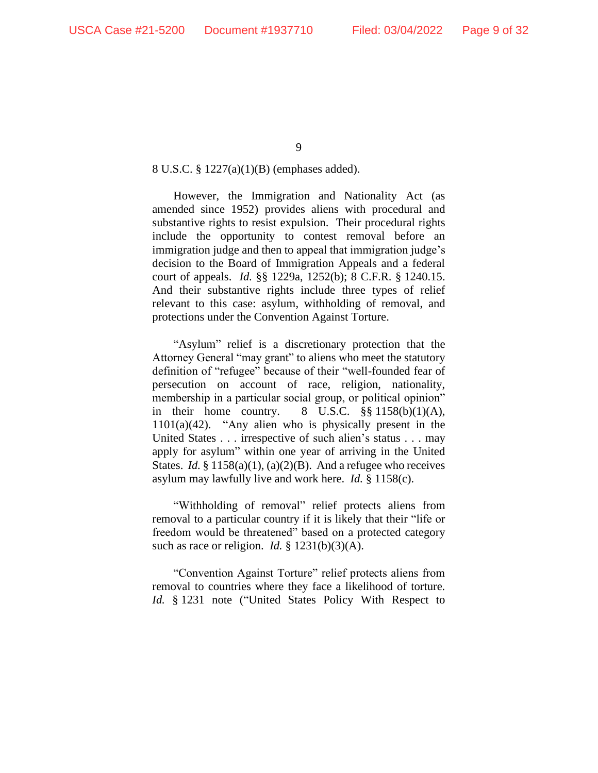### 8 U.S.C. § 1227(a)(1)(B) (emphases added).

However, the Immigration and Nationality Act (as amended since 1952) provides aliens with procedural and substantive rights to resist expulsion. Their procedural rights include the opportunity to contest removal before an immigration judge and then to appeal that immigration judge's decision to the Board of Immigration Appeals and a federal court of appeals. *Id.* §§ 1229a, 1252(b); 8 C.F.R. § 1240.15. And their substantive rights include three types of relief relevant to this case: asylum, withholding of removal, and protections under the Convention Against Torture.

"Asylum" relief is a discretionary protection that the Attorney General "may grant" to aliens who meet the statutory definition of "refugee" because of their "well-founded fear of persecution on account of race, religion, nationality, membership in a particular social group, or political opinion" in their home country.  $8 \text{ U.S.C. }$   $\S\S 1158(b)(1)(\text{A}),$  $1101(a)(42)$ . "Any alien who is physically present in the United States . . . irrespective of such alien's status . . . may apply for asylum" within one year of arriving in the United States. *Id.* § 1158(a)(1), (a)(2)(B). And a refugee who receives asylum may lawfully live and work here. *Id.* § 1158(c).

"Withholding of removal" relief protects aliens from removal to a particular country if it is likely that their "life or freedom would be threatened" based on a protected category such as race or religion. *Id.* § 1231(b)(3)(A).

"Convention Against Torture" relief protects aliens from removal to countries where they face a likelihood of torture. *Id.* § 1231 note ("United States Policy With Respect to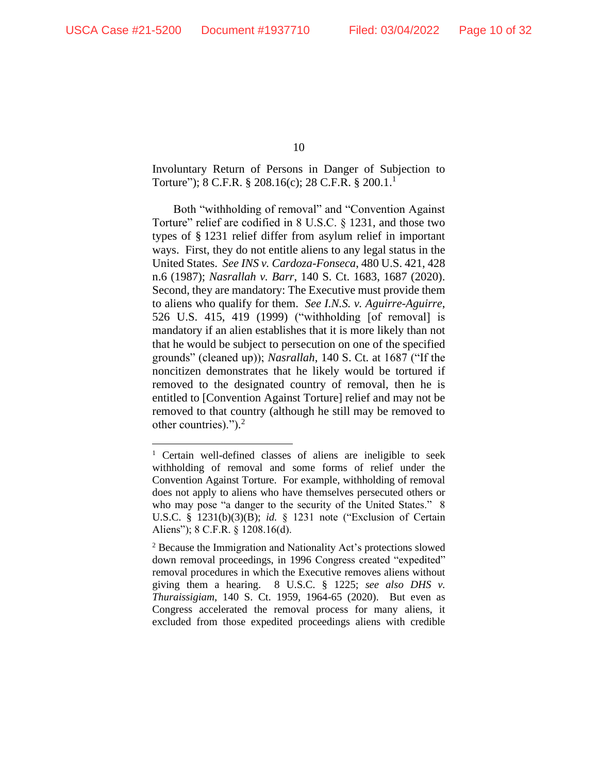Involuntary Return of Persons in Danger of Subjection to Torture"); 8 C.F.R. § 208.16(c); 28 C.F.R. § 200.1.<sup>1</sup>

Both "withholding of removal" and "Convention Against Torture" relief are codified in 8 U.S.C. § 1231, and those two types of § 1231 relief differ from asylum relief in important ways. First, they do not entitle aliens to any legal status in the United States. *See INS v. Cardoza-Fonseca*, 480 U.S. 421, 428 n.6 (1987); *Nasrallah v. Barr*, 140 S. Ct. 1683, 1687 (2020). Second, they are mandatory: The Executive must provide them to aliens who qualify for them. *See I.N.S. v. Aguirre-Aguirre*, 526 U.S. 415, 419 (1999) ("withholding [of removal] is mandatory if an alien establishes that it is more likely than not that he would be subject to persecution on one of the specified grounds" (cleaned up)); *Nasrallah*, 140 S. Ct. at 1687 ("If the noncitizen demonstrates that he likely would be tortured if removed to the designated country of removal, then he is entitled to [Convention Against Torture] relief and may not be removed to that country (although he still may be removed to other countries)."). 2

<sup>&</sup>lt;sup>1</sup> Certain well-defined classes of aliens are ineligible to seek withholding of removal and some forms of relief under the Convention Against Torture. For example, withholding of removal does not apply to aliens who have themselves persecuted others or who may pose "a danger to the security of the United States." 8 U.S.C. § 1231(b)(3)(B); *id.* § 1231 note ("Exclusion of Certain Aliens"); 8 C.F.R. § 1208.16(d).

<sup>2</sup> Because the Immigration and Nationality Act's protections slowed down removal proceedings, in 1996 Congress created "expedited" removal procedures in which the Executive removes aliens without giving them a hearing. 8 U.S.C. § 1225; *see also DHS v. Thuraissigiam*, 140 S. Ct. 1959, 1964-65 (2020). But even as Congress accelerated the removal process for many aliens, it excluded from those expedited proceedings aliens with credible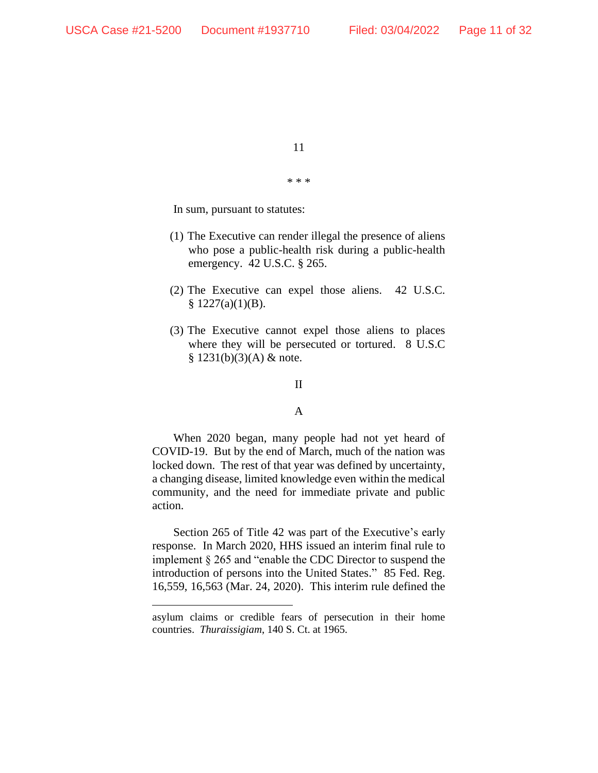\* \* \*

In sum, pursuant to statutes:

- (1) The Executive can render illegal the presence of aliens who pose a public-health risk during a public-health emergency. 42 U.S.C. § 265.
- (2) The Executive can expel those aliens. 42 U.S.C.  $$ 1227(a)(1)(B).$
- (3) The Executive cannot expel those aliens to places where they will be persecuted or tortured. 8 U.S.C  $§ 1231(b)(3)(A) \&$  note.

#### II

#### A

When 2020 began, many people had not yet heard of COVID-19. But by the end of March, much of the nation was locked down. The rest of that year was defined by uncertainty, a changing disease, limited knowledge even within the medical community, and the need for immediate private and public action.

Section 265 of Title 42 was part of the Executive's early response. In March 2020, HHS issued an interim final rule to implement § 265 and "enable the CDC Director to suspend the introduction of persons into the United States." 85 Fed. Reg. 16,559, 16,563 (Mar. 24, 2020). This interim rule defined the

asylum claims or credible fears of persecution in their home countries. *Thuraissigiam*, 140 S. Ct. at 1965.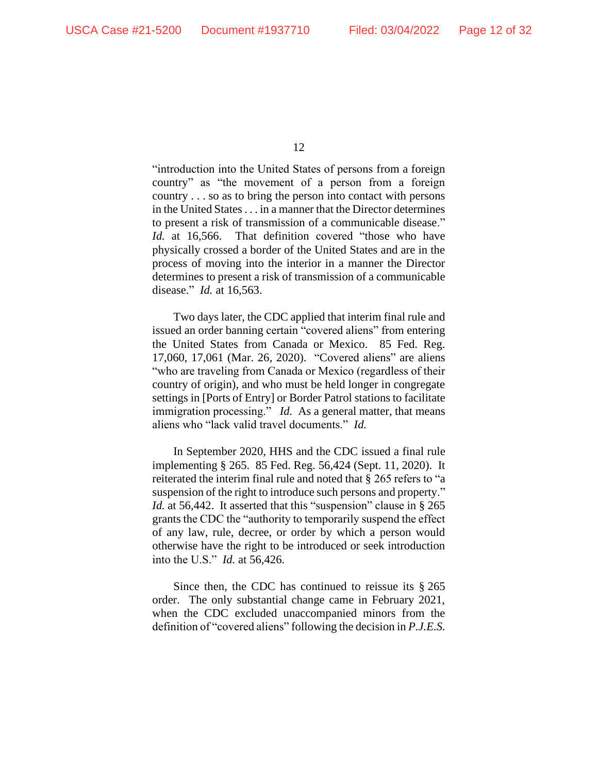"introduction into the United States of persons from a foreign country" as "the movement of a person from a foreign country . . . so as to bring the person into contact with persons in the United States. . . in a manner that the Director determines to present a risk of transmission of a communicable disease." *Id.* at 16,566. That definition covered "those who have physically crossed a border of the United States and are in the process of moving into the interior in a manner the Director determines to present a risk of transmission of a communicable disease." *Id.* at 16,563.

Two days later, the CDC applied that interim final rule and issued an order banning certain "covered aliens" from entering the United States from Canada or Mexico. 85 Fed. Reg. 17,060, 17,061 (Mar. 26, 2020). "Covered aliens" are aliens "who are traveling from Canada or Mexico (regardless of their country of origin), and who must be held longer in congregate settings in [Ports of Entry] or Border Patrol stations to facilitate immigration processing." *Id.* As a general matter, that means aliens who "lack valid travel documents." *Id.*

In September 2020, HHS and the CDC issued a final rule implementing § 265. 85 Fed. Reg. 56,424 (Sept. 11, 2020). It reiterated the interim final rule and noted that § 265 refers to "a suspension of the right to introduce such persons and property." *Id.* at 56,442. It asserted that this "suspension" clause in § 265 grants the CDC the "authority to temporarily suspend the effect of any law, rule, decree, or order by which a person would otherwise have the right to be introduced or seek introduction into the U.S." *Id.* at 56,426.

Since then, the CDC has continued to reissue its § 265 order. The only substantial change came in February 2021, when the CDC excluded unaccompanied minors from the definition of "covered aliens" following the decision in *P.J.E.S.*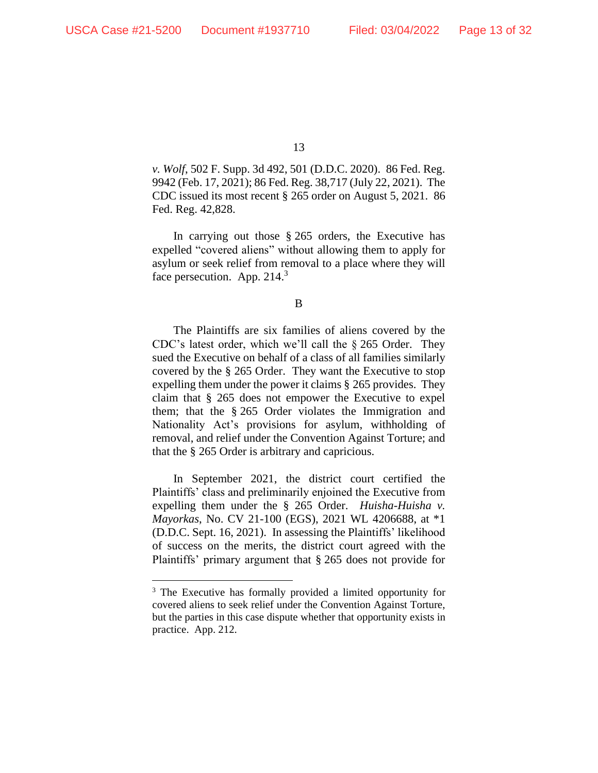*v. Wolf*, 502 F. Supp. 3d 492, 501 (D.D.C. 2020). 86 Fed. Reg. 9942 (Feb. 17, 2021); 86 Fed. Reg. 38,717 (July 22, 2021). The CDC issued its most recent § 265 order on August 5, 2021. 86 Fed. Reg. 42,828.

In carrying out those § 265 orders, the Executive has expelled "covered aliens" without allowing them to apply for asylum or seek relief from removal to a place where they will face persecution. App. 214. $3$ 

B

The Plaintiffs are six families of aliens covered by the CDC's latest order, which we'll call the § 265 Order. They sued the Executive on behalf of a class of all families similarly covered by the § 265 Order. They want the Executive to stop expelling them under the power it claims § 265 provides. They claim that § 265 does not empower the Executive to expel them; that the § 265 Order violates the Immigration and Nationality Act's provisions for asylum, withholding of removal, and relief under the Convention Against Torture; and that the § 265 Order is arbitrary and capricious.

In September 2021, the district court certified the Plaintiffs' class and preliminarily enjoined the Executive from expelling them under the § 265 Order. *Huisha-Huisha v. Mayorkas*, No. CV 21-100 (EGS), 2021 WL 4206688, at \*1 (D.D.C. Sept. 16, 2021). In assessing the Plaintiffs' likelihood of success on the merits, the district court agreed with the Plaintiffs' primary argument that § 265 does not provide for

<sup>3</sup> The Executive has formally provided a limited opportunity for covered aliens to seek relief under the Convention Against Torture, but the parties in this case dispute whether that opportunity exists in practice. App. 212.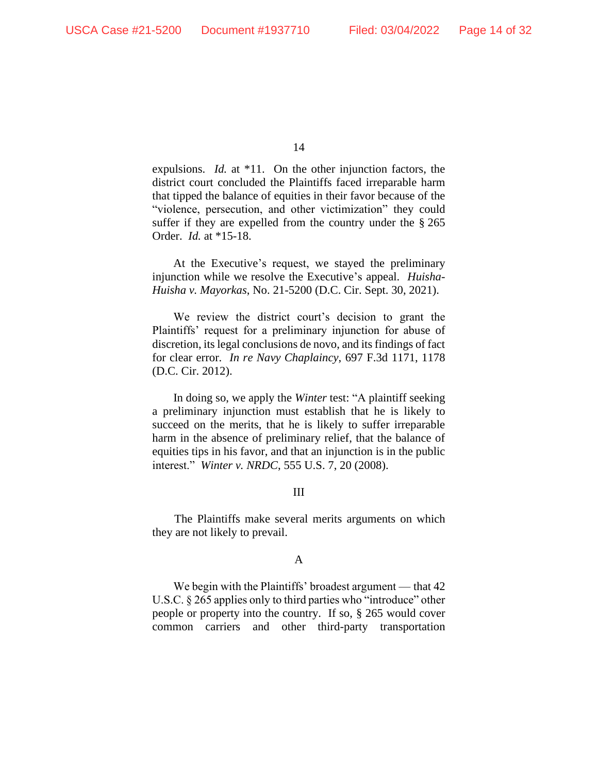expulsions. *Id.* at \*11. On the other injunction factors, the district court concluded the Plaintiffs faced irreparable harm that tipped the balance of equities in their favor because of the "violence, persecution, and other victimization" they could suffer if they are expelled from the country under the § 265 Order. *Id.* at \*15-18.

At the Executive's request, we stayed the preliminary injunction while we resolve the Executive's appeal. *Huisha-Huisha v. Mayorkas*, No. 21-5200 (D.C. Cir. Sept. 30, 2021).

We review the district court's decision to grant the Plaintiffs' request for a preliminary injunction for abuse of discretion, its legal conclusions de novo, and its findings of fact for clear error. *In re Navy Chaplaincy*, 697 F.3d 1171, 1178 (D.C. Cir. 2012).

In doing so, we apply the *Winter* test: "A plaintiff seeking a preliminary injunction must establish that he is likely to succeed on the merits, that he is likely to suffer irreparable harm in the absence of preliminary relief, that the balance of equities tips in his favor, and that an injunction is in the public interest." *Winter v. NRDC*, 555 U.S. 7, 20 (2008).

#### III

The Plaintiffs make several merits arguments on which they are not likely to prevail.

# A

We begin with the Plaintiffs' broadest argument — that 42 U.S.C. § 265 applies only to third parties who "introduce" other people or property into the country. If so, § 265 would cover common carriers and other third-party transportation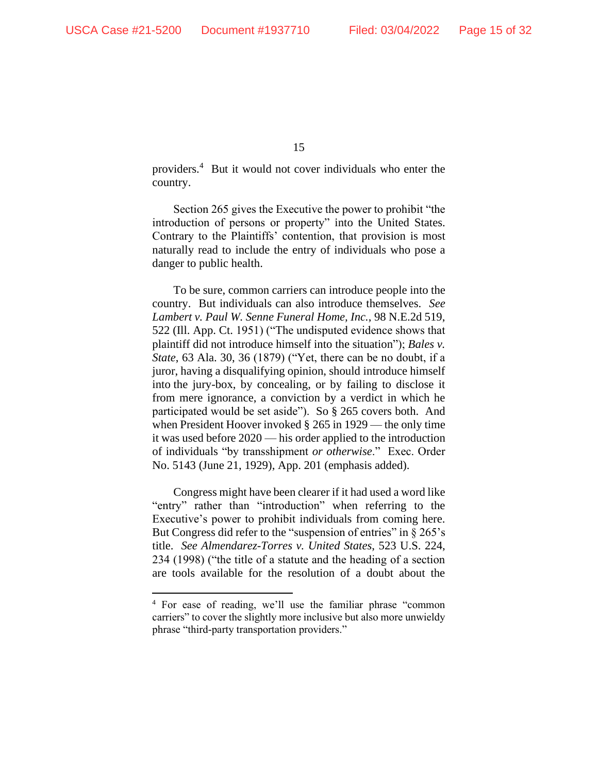providers. 4 But it would not cover individuals who enter the country.

Section 265 gives the Executive the power to prohibit "the introduction of persons or property" into the United States. Contrary to the Plaintiffs' contention, that provision is most naturally read to include the entry of individuals who pose a danger to public health.

To be sure, common carriers can introduce people into the country. But individuals can also introduce themselves. *See Lambert v. Paul W. Senne Funeral Home, Inc.*, 98 N.E.2d 519, 522 (Ill. App. Ct. 1951) ("The undisputed evidence shows that plaintiff did not introduce himself into the situation"); *Bales v. State*, 63 Ala. 30, 36 (1879) ("Yet, there can be no doubt, if a juror, having a disqualifying opinion, should introduce himself into the jury-box, by concealing, or by failing to disclose it from mere ignorance, a conviction by a verdict in which he participated would be set aside"). So § 265 covers both. And when President Hoover invoked § 265 in 1929 — the only time it was used before 2020 — his order applied to the introduction of individuals "by transshipment *or otherwise*." Exec. Order No. 5143 (June 21, 1929), App. 201 (emphasis added).

Congress might have been clearer if it had used a word like "entry" rather than "introduction" when referring to the Executive's power to prohibit individuals from coming here. But Congress did refer to the "suspension of entries" in  $\S 265$ 's title. *See Almendarez-Torres v. United States*, 523 U.S. 224, 234 (1998) ("the title of a statute and the heading of a section are tools available for the resolution of a doubt about the

<sup>4</sup> For ease of reading, we'll use the familiar phrase "common carriers" to cover the slightly more inclusive but also more unwieldy phrase "third-party transportation providers."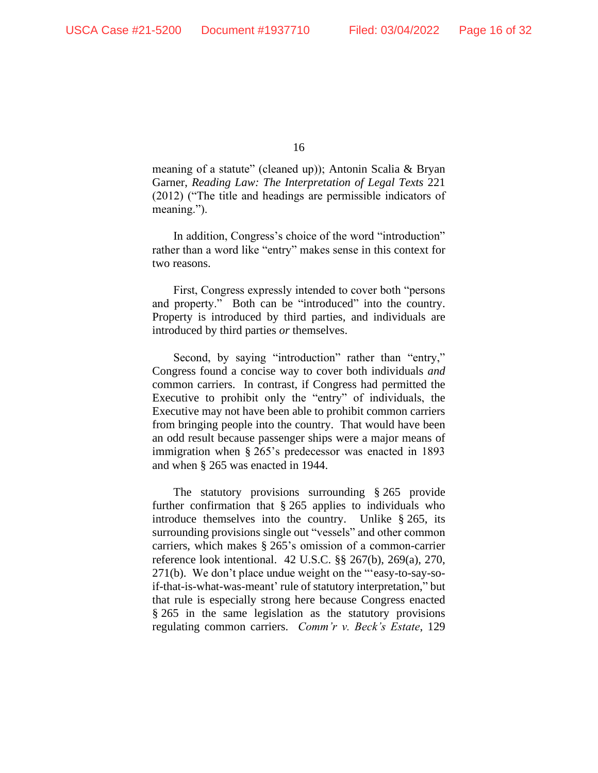meaning of a statute" (cleaned up)); Antonin Scalia & Bryan Garner, *Reading Law: The Interpretation of Legal Texts* 221 (2012) ("The title and headings are permissible indicators of meaning.").

In addition, Congress's choice of the word "introduction" rather than a word like "entry" makes sense in this context for two reasons.

First, Congress expressly intended to cover both "persons and property." Both can be "introduced" into the country. Property is introduced by third parties, and individuals are introduced by third parties *or* themselves.

Second, by saying "introduction" rather than "entry," Congress found a concise way to cover both individuals *and* common carriers. In contrast, if Congress had permitted the Executive to prohibit only the "entry" of individuals, the Executive may not have been able to prohibit common carriers from bringing people into the country. That would have been an odd result because passenger ships were a major means of immigration when § 265's predecessor was enacted in 1893 and when § 265 was enacted in 1944.

The statutory provisions surrounding § 265 provide further confirmation that § 265 applies to individuals who introduce themselves into the country. Unlike § 265, its surrounding provisions single out "vessels" and other common carriers, which makes § 265's omission of a common-carrier reference look intentional. 42 U.S.C. §§ 267(b), 269(a), 270, 271(b). We don't place undue weight on the "'easy-to-say-soif-that-is-what-was-meant' rule of statutory interpretation," but that rule is especially strong here because Congress enacted § 265 in the same legislation as the statutory provisions regulating common carriers. *Comm'r v. Beck's Estate*, 129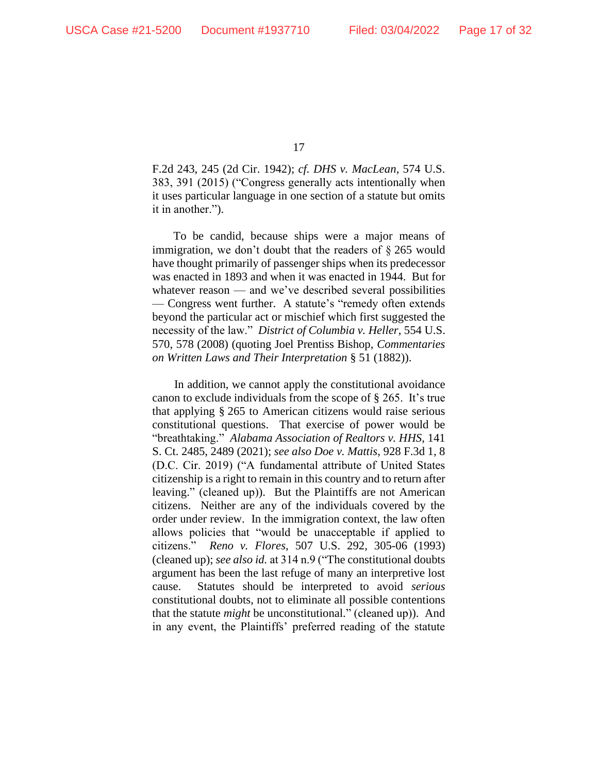F.2d 243, 245 (2d Cir. 1942); *cf. DHS v. MacLean*, 574 U.S. 383, 391 (2015) ("Congress generally acts intentionally when it uses particular language in one section of a statute but omits it in another.").

To be candid, because ships were a major means of immigration, we don't doubt that the readers of § 265 would have thought primarily of passenger ships when its predecessor was enacted in 1893 and when it was enacted in 1944. But for whatever reason — and we've described several possibilities — Congress went further. A statute's "remedy often extends beyond the particular act or mischief which first suggested the necessity of the law." *District of Columbia v. Heller*, 554 U.S. 570, 578 (2008) (quoting Joel Prentiss Bishop, *Commentaries on Written Laws and Their Interpretation* § 51 (1882)).

In addition, we cannot apply the constitutional avoidance canon to exclude individuals from the scope of § 265. It's true that applying § 265 to American citizens would raise serious constitutional questions. That exercise of power would be "breathtaking." *Alabama Association of Realtors v. HHS*, 141 S. Ct. 2485, 2489 (2021); *see also Doe v. Mattis*, 928 F.3d 1, 8 (D.C. Cir. 2019) ("A fundamental attribute of United States citizenship is a right to remain in this country and to return after leaving." (cleaned up)). But the Plaintiffs are not American citizens. Neither are any of the individuals covered by the order under review. In the immigration context, the law often allows policies that "would be unacceptable if applied to citizens." *Reno v. Flores*, 507 U.S. 292, 305-06 (1993) (cleaned up); *see also id.* at 314 n.9 ("The constitutional doubts argument has been the last refuge of many an interpretive lost cause. Statutes should be interpreted to avoid *serious* constitutional doubts, not to eliminate all possible contentions that the statute *might* be unconstitutional." (cleaned up)). And in any event, the Plaintiffs' preferred reading of the statute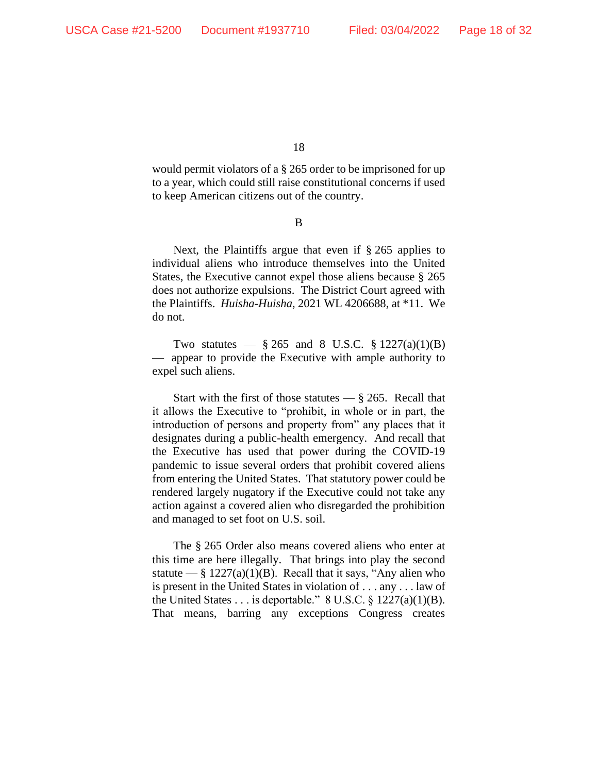would permit violators of a § 265 order to be imprisoned for up to a year, which could still raise constitutional concerns if used to keep American citizens out of the country.

B

Next, the Plaintiffs argue that even if § 265 applies to individual aliens who introduce themselves into the United States, the Executive cannot expel those aliens because § 265 does not authorize expulsions. The District Court agreed with the Plaintiffs. *Huisha-Huisha*, 2021 WL 4206688, at \*11. We do not.

Two statutes —  $\S 265$  and 8 U.S.C.  $\S 1227(a)(1)(B)$ — appear to provide the Executive with ample authority to expel such aliens.

Start with the first of those statutes  $-\frac{8}{9}$  265. Recall that it allows the Executive to "prohibit, in whole or in part, the introduction of persons and property from" any places that it designates during a public-health emergency. And recall that the Executive has used that power during the COVID-19 pandemic to issue several orders that prohibit covered aliens from entering the United States. That statutory power could be rendered largely nugatory if the Executive could not take any action against a covered alien who disregarded the prohibition and managed to set foot on U.S. soil.

The § 265 Order also means covered aliens who enter at this time are here illegally. That brings into play the second statute — §  $1227(a)(1)(B)$ . Recall that it says, "Any alien who is present in the United States in violation of . . . any . . . law of the United States . . . is deportable."  $8 \text{ U.S.C.} \$   $1227(a)(1)(B)$ . That means, barring any exceptions Congress creates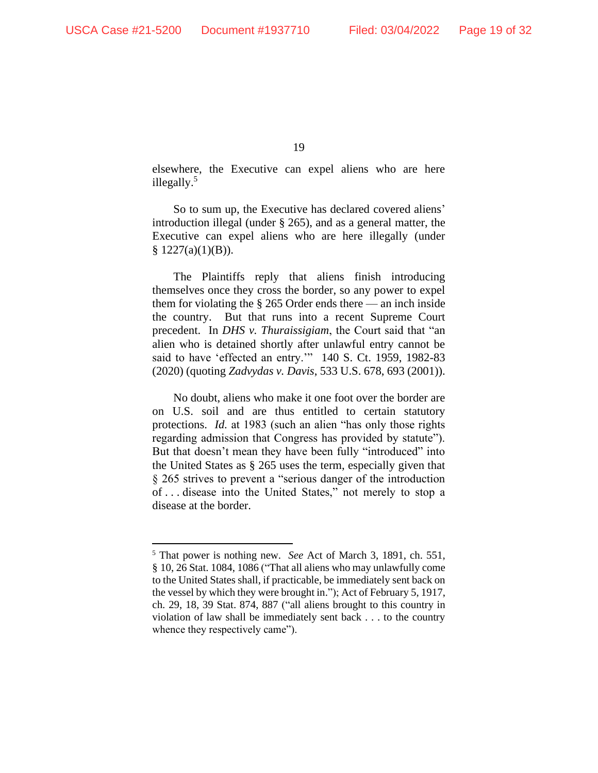elsewhere, the Executive can expel aliens who are here illegally.<sup>5</sup>

So to sum up, the Executive has declared covered aliens' introduction illegal (under § 265), and as a general matter, the Executive can expel aliens who are here illegally (under  $§ 1227(a)(1)(B)).$ 

The Plaintiffs reply that aliens finish introducing themselves once they cross the border, so any power to expel them for violating the § 265 Order ends there — an inch inside the country. But that runs into a recent Supreme Court precedent. In *DHS v. Thuraissigiam*, the Court said that "an alien who is detained shortly after unlawful entry cannot be said to have 'effected an entry.'" 140 S. Ct. 1959, 1982-83 (2020) (quoting *Zadvydas v. Davis*, 533 U.S. 678, 693 (2001)).

No doubt, aliens who make it one foot over the border are on U.S. soil and are thus entitled to certain statutory protections. *Id.* at 1983 (such an alien "has only those rights regarding admission that Congress has provided by statute"). But that doesn't mean they have been fully "introduced" into the United States as § 265 uses the term, especially given that § 265 strives to prevent a "serious danger of the introduction of . . . disease into the United States," not merely to stop a disease at the border.

<sup>5</sup> That power is nothing new. *See* Act of March 3, 1891, ch. 551, § 10, 26 Stat. 1084, 1086 ("That all aliens who may unlawfully come to the United States shall, if practicable, be immediately sent back on the vessel by which they were brought in."); Act of February 5, 1917, ch. 29, 18, 39 Stat. 874, 887 ("all aliens brought to this country in violation of law shall be immediately sent back . . . to the country whence they respectively came").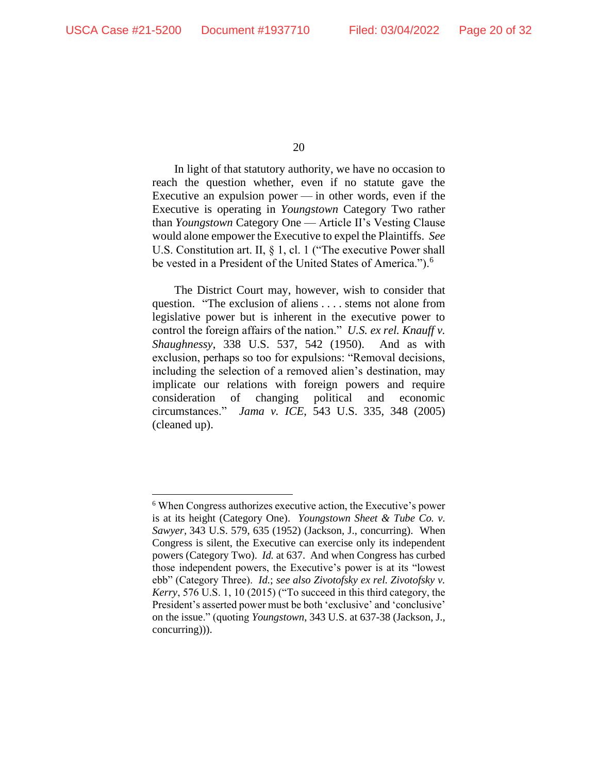In light of that statutory authority, we have no occasion to reach the question whether, even if no statute gave the Executive an expulsion power — in other words, even if the Executive is operating in *Youngstown* Category Two rather than *Youngstown* Category One — Article II's Vesting Clause would alone empower the Executive to expel the Plaintiffs. *See*  U.S. Constitution art. II, § 1, cl. 1 ("The executive Power shall be vested in a President of the United States of America.").<sup>6</sup>

The District Court may, however, wish to consider that question. "The exclusion of aliens . . . . stems not alone from legislative power but is inherent in the executive power to control the foreign affairs of the nation." *U.S. ex rel. Knauff v. Shaughnessy*, 338 U.S. 537, 542 (1950). And as with exclusion, perhaps so too for expulsions: "Removal decisions, including the selection of a removed alien's destination, may implicate our relations with foreign powers and require consideration of changing political and economic circumstances." *Jama v. ICE*, 543 U.S. 335, 348 (2005) (cleaned up).

<sup>6</sup> When Congress authorizes executive action, the Executive's power is at its height (Category One). *Youngstown Sheet & Tube Co. v. Sawyer,* 343 U.S. 579, 635 (1952) (Jackson, J., concurring). When Congress is silent, the Executive can exercise only its independent powers (Category Two). *Id.* at 637. And when Congress has curbed those independent powers, the Executive's power is at its "lowest ebb" (Category Three). *Id.*; *see also Zivotofsky ex rel. Zivotofsky v. Kerry*, 576 U.S. 1, 10 (2015) ("To succeed in this third category, the President's asserted power must be both 'exclusive' and 'conclusive' on the issue." (quoting *Youngstown*, 343 U.S. at 637-38 (Jackson, J., concurring))).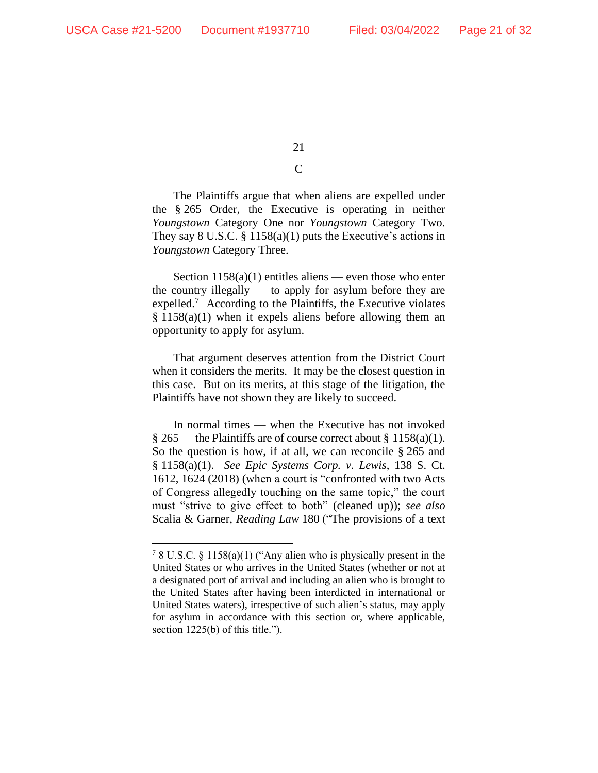# $\mathsf{C}$

The Plaintiffs argue that when aliens are expelled under the § 265 Order, the Executive is operating in neither *Youngstown* Category One nor *Youngstown* Category Two. They say  $8 \text{ U.S.C. } § 1158(a)(1)$  puts the Executive's actions in *Youngstown* Category Three.

Section  $1158(a)(1)$  entitles aliens — even those who enter the country illegally — to apply for asylum before they are expelled.<sup>7</sup> According to the Plaintiffs, the Executive violates  $§ 1158(a)(1)$  when it expels aliens before allowing them an opportunity to apply for asylum.

That argument deserves attention from the District Court when it considers the merits. It may be the closest question in this case. But on its merits, at this stage of the litigation, the Plaintiffs have not shown they are likely to succeed.

In normal times — when the Executive has not invoked  $\S 265$  — the Plaintiffs are of course correct about  $\S 1158(a)(1)$ . So the question is how, if at all, we can reconcile § 265 and § 1158(a)(1). *See Epic Systems Corp. v. Lewis*, 138 S. Ct. 1612, 1624 (2018) (when a court is "confronted with two Acts of Congress allegedly touching on the same topic," the court must "strive to give effect to both" (cleaned up)); *see also*  Scalia & Garner, *Reading Law* 180 ("The provisions of a text

<sup>7</sup> 8 U.S.C. § 1158(a)(1) ("Any alien who is physically present in the United States or who arrives in the United States (whether or not at a designated port of arrival and including an alien who is brought to the United States after having been interdicted in international or United States waters), irrespective of such alien's status, may apply for asylum in accordance with this section or, where applicable, section 1225(b) of this title.").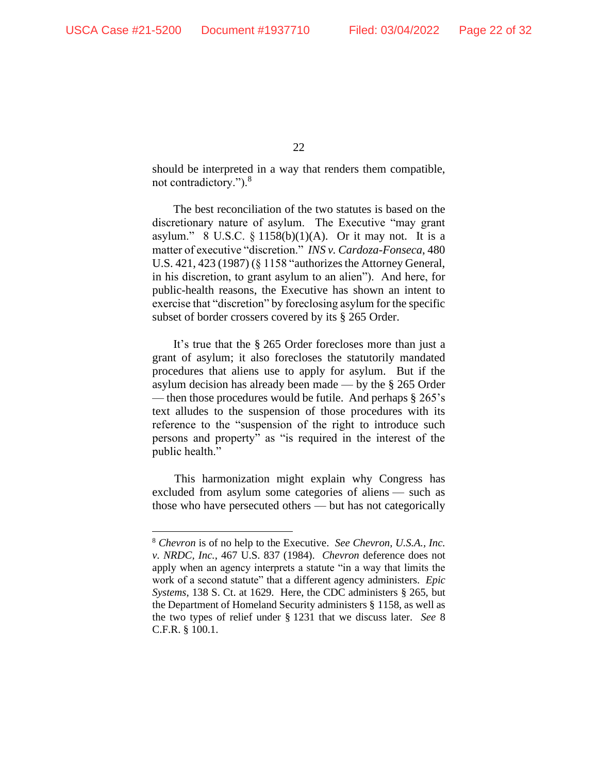should be interpreted in a way that renders them compatible, not contradictory.").<sup>8</sup>

The best reconciliation of the two statutes is based on the discretionary nature of asylum. The Executive "may grant asylum." 8 U.S.C. § 1158(b)(1)(A). Or it may not. It is a matter of executive "discretion." *INS v. Cardoza-Fonseca*, 480 U.S. 421, 423 (1987) (§ 1158 "authorizes the Attorney General, in his discretion, to grant asylum to an alien"). And here, for public-health reasons, the Executive has shown an intent to exercise that "discretion" by foreclosing asylum for the specific subset of border crossers covered by its § 265 Order.

It's true that the § 265 Order forecloses more than just a grant of asylum; it also forecloses the statutorily mandated procedures that aliens use to apply for asylum. But if the asylum decision has already been made — by the § 265 Order — then those procedures would be futile. And perhaps § 265's text alludes to the suspension of those procedures with its reference to the "suspension of the right to introduce such persons and property" as "is required in the interest of the public health."

This harmonization might explain why Congress has excluded from asylum some categories of aliens — such as those who have persecuted others — but has not categorically

<sup>8</sup> *Chevron* is of no help to the Executive. *See Chevron, U.S.A., Inc. v. NRDC, Inc.*, 467 U.S. 837 (1984). *Chevron* deference does not apply when an agency interprets a statute "in a way that limits the work of a second statute" that a different agency administers. *Epic Systems*, 138 S. Ct. at 1629. Here, the CDC administers § 265, but the Department of Homeland Security administers § 1158, as well as the two types of relief under § 1231 that we discuss later. *See* 8 C.F.R. § 100.1.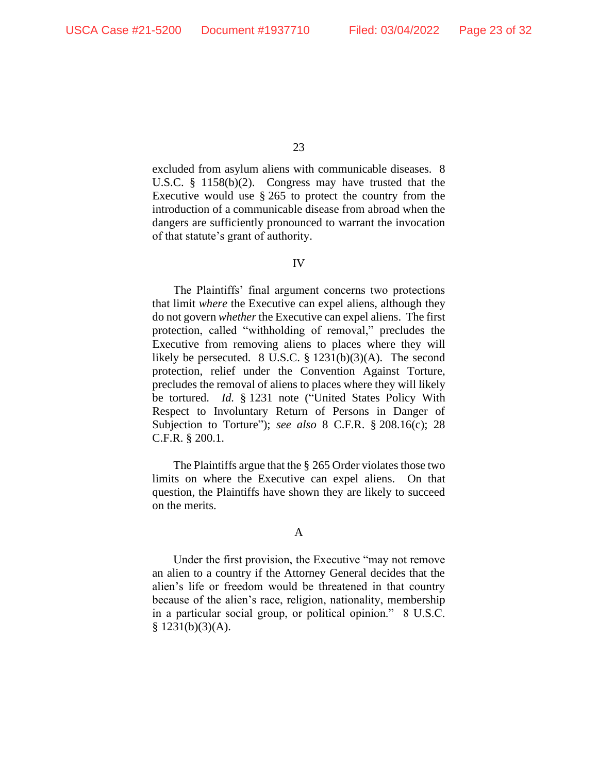excluded from asylum aliens with communicable diseases. 8 U.S.C. § 1158(b)(2). Congress may have trusted that the Executive would use  $\S 265$  to protect the country from the introduction of a communicable disease from abroad when the dangers are sufficiently pronounced to warrant the invocation of that statute's grant of authority.

#### IV

The Plaintiffs' final argument concerns two protections that limit *where* the Executive can expel aliens, although they do not govern *whether* the Executive can expel aliens. The first protection, called "withholding of removal," precludes the Executive from removing aliens to places where they will likely be persecuted. 8 U.S.C.  $\S$  1231(b)(3)(A). The second protection, relief under the Convention Against Torture, precludes the removal of aliens to places where they will likely be tortured. *Id.* § 1231 note ("United States Policy With Respect to Involuntary Return of Persons in Danger of Subjection to Torture"); *see also* 8 C.F.R. § 208.16(c); 28 C.F.R. § 200.1.

The Plaintiffs argue that the § 265 Order violates those two limits on where the Executive can expel aliens. On that question, the Plaintiffs have shown they are likely to succeed on the merits.

#### A

Under the first provision, the Executive "may not remove an alien to a country if the Attorney General decides that the alien's life or freedom would be threatened in that country because of the alien's race, religion, nationality, membership in a particular social group, or political opinion." 8 U.S.C.  $$ 1231(b)(3)(A).$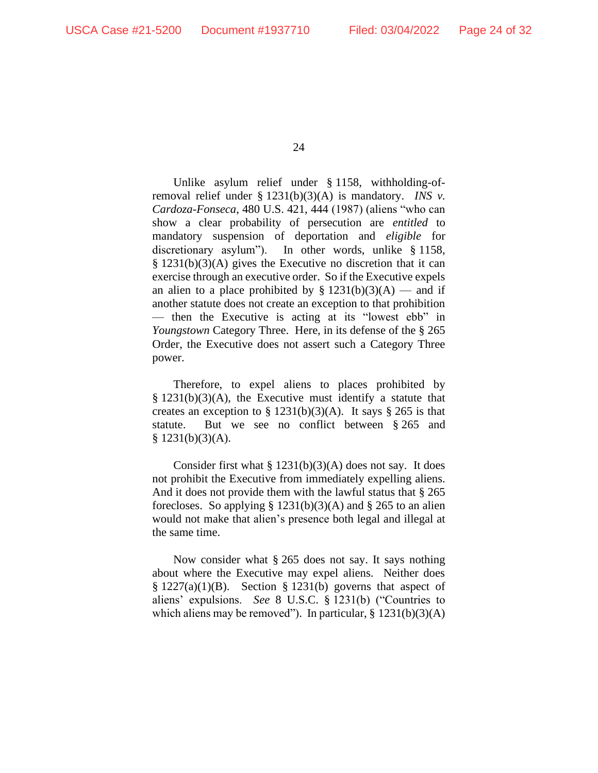Unlike asylum relief under § 1158, withholding-ofremoval relief under § 1231(b)(3)(A) is mandatory. *INS v. Cardoza-Fonseca*, 480 U.S. 421, 444 (1987) (aliens "who can show a clear probability of persecution are *entitled* to mandatory suspension of deportation and *eligible* for discretionary asylum"). In other words, unlike § 1158, § 1231(b)(3)(A) gives the Executive no discretion that it can exercise through an executive order. So if the Executive expels an alien to a place prohibited by  $\S 1231(b)(3)(A)$  — and if another statute does not create an exception to that prohibition — then the Executive is acting at its "lowest ebb" in *Youngstown* Category Three. Here, in its defense of the § 265 Order, the Executive does not assert such a Category Three power.

Therefore, to expel aliens to places prohibited by § 1231(b)(3)(A), the Executive must identify a statute that creates an exception to  $\S 1231(b)(3)(A)$ . It says  $\S 265$  is that statute. But we see no conflict between § 265 and  $§$  1231(b)(3)(A).

Consider first what § 1231(b)(3)(A) does not say. It does not prohibit the Executive from immediately expelling aliens. And it does not provide them with the lawful status that § 265 forecloses. So applying  $\S 1231(b)(3)(A)$  and  $\S 265$  to an alien would not make that alien's presence both legal and illegal at the same time.

Now consider what § 265 does not say. It says nothing about where the Executive may expel aliens. Neither does  $§ 1227(a)(1)(B)$ . Section § 1231(b) governs that aspect of aliens' expulsions. *See* 8 U.S.C. § 1231(b) ("Countries to which aliens may be removed"). In particular,  $\S 1231(b)(3)(A)$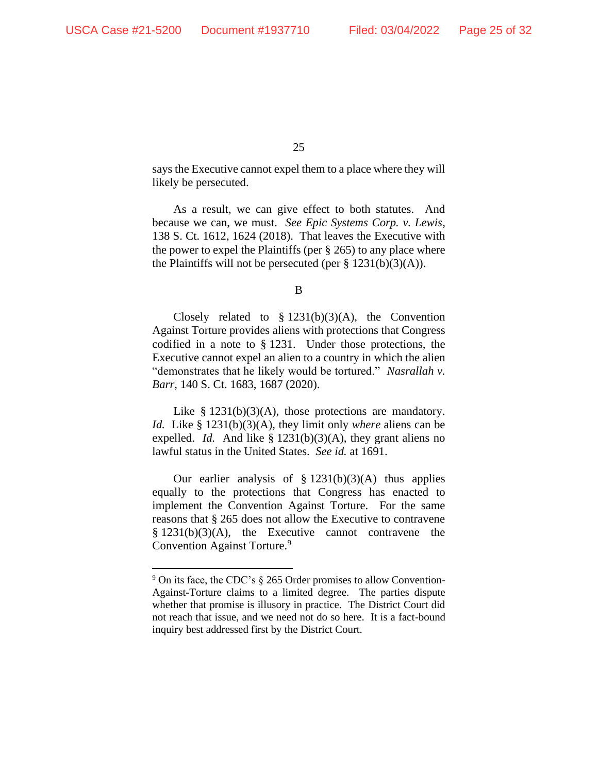says the Executive cannot expel them to a place where they will likely be persecuted.

As a result, we can give effect to both statutes. And because we can, we must. *See Epic Systems Corp. v. Lewis*, 138 S. Ct. 1612, 1624 (2018). That leaves the Executive with the power to expel the Plaintiffs (per § 265) to any place where the Plaintiffs will not be persecuted (per  $\S 1231(b)(3)(A)$ ).

B

Closely related to  $\S$  1231(b)(3)(A), the Convention Against Torture provides aliens with protections that Congress codified in a note to § 1231. Under those protections, the Executive cannot expel an alien to a country in which the alien "demonstrates that he likely would be tortured." *Nasrallah v. Barr*, 140 S. Ct. 1683, 1687 (2020).

Like  $§$  1231(b)(3)(A), those protections are mandatory. *Id.* Like § 1231(b)(3)(A), they limit only *where* aliens can be expelled. *Id.* And like § 1231(b)(3)(A), they grant aliens no lawful status in the United States. *See id.* at 1691.

Our earlier analysis of  $\S 1231(b)(3)(A)$  thus applies equally to the protections that Congress has enacted to implement the Convention Against Torture. For the same reasons that § 265 does not allow the Executive to contravene  $§ 1231(b)(3)(A)$ , the Executive cannot contravene the Convention Against Torture.<sup>9</sup>

 $9$  On its face, the CDC's  $\S$  265 Order promises to allow Convention-Against-Torture claims to a limited degree. The parties dispute whether that promise is illusory in practice. The District Court did not reach that issue, and we need not do so here. It is a fact-bound inquiry best addressed first by the District Court.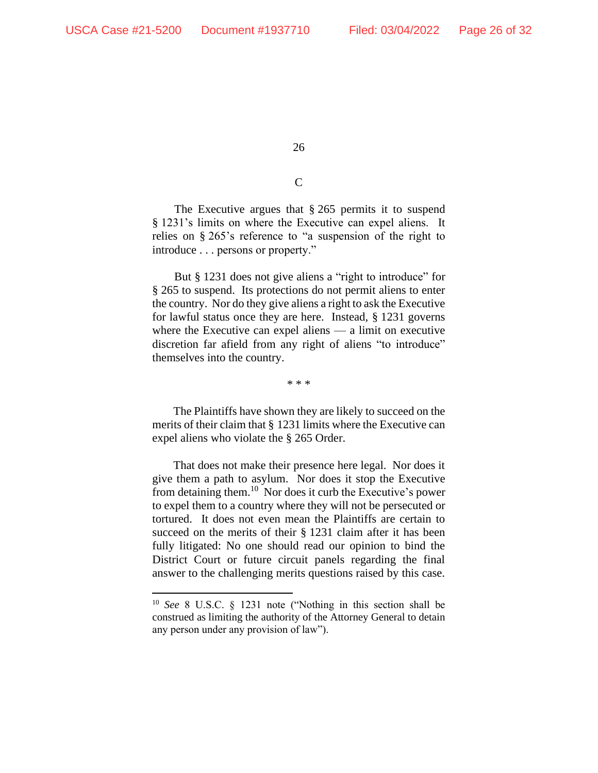# $\overline{C}$

The Executive argues that § 265 permits it to suspend § 1231's limits on where the Executive can expel aliens. It relies on § 265's reference to "a suspension of the right to introduce . . . persons or property."

But § 1231 does not give aliens a "right to introduce" for § 265 to suspend. Its protections do not permit aliens to enter the country. Nor do they give aliens a right to ask the Executive for lawful status once they are here. Instead, § 1231 governs where the Executive can expel aliens — a limit on executive discretion far afield from any right of aliens "to introduce" themselves into the country.

\* \* \*

The Plaintiffs have shown they are likely to succeed on the merits of their claim that § 1231 limits where the Executive can expel aliens who violate the § 265 Order.

That does not make their presence here legal. Nor does it give them a path to asylum. Nor does it stop the Executive from detaining them.<sup>10</sup> Nor does it curb the Executive's power to expel them to a country where they will not be persecuted or tortured. It does not even mean the Plaintiffs are certain to succeed on the merits of their § 1231 claim after it has been fully litigated: No one should read our opinion to bind the District Court or future circuit panels regarding the final answer to the challenging merits questions raised by this case.

<sup>10</sup> *See* 8 U.S.C. § 1231 note ("Nothing in this section shall be construed as limiting the authority of the Attorney General to detain any person under any provision of law").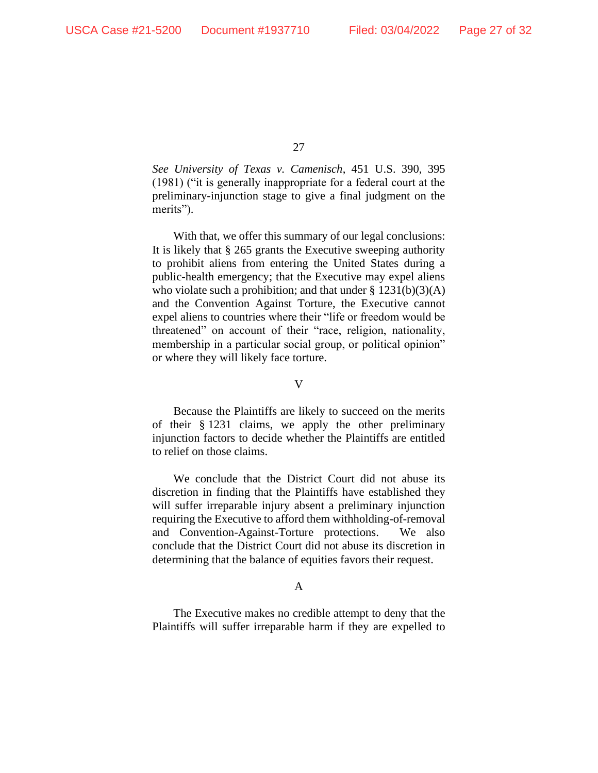*See University of Texas v. Camenisch*, 451 U.S. 390, 395 (1981) ("it is generally inappropriate for a federal court at the preliminary-injunction stage to give a final judgment on the merits").

With that, we offer this summary of our legal conclusions: It is likely that § 265 grants the Executive sweeping authority to prohibit aliens from entering the United States during a public-health emergency; that the Executive may expel aliens who violate such a prohibition; and that under  $\S$  1231(b)(3)(A) and the Convention Against Torture, the Executive cannot expel aliens to countries where their "life or freedom would be threatened" on account of their "race, religion, nationality, membership in a particular social group, or political opinion" or where they will likely face torture.

V

Because the Plaintiffs are likely to succeed on the merits of their § 1231 claims, we apply the other preliminary injunction factors to decide whether the Plaintiffs are entitled to relief on those claims.

We conclude that the District Court did not abuse its discretion in finding that the Plaintiffs have established they will suffer irreparable injury absent a preliminary injunction requiring the Executive to afford them withholding-of-removal and Convention-Against-Torture protections. We also conclude that the District Court did not abuse its discretion in determining that the balance of equities favors their request.

# A

The Executive makes no credible attempt to deny that the Plaintiffs will suffer irreparable harm if they are expelled to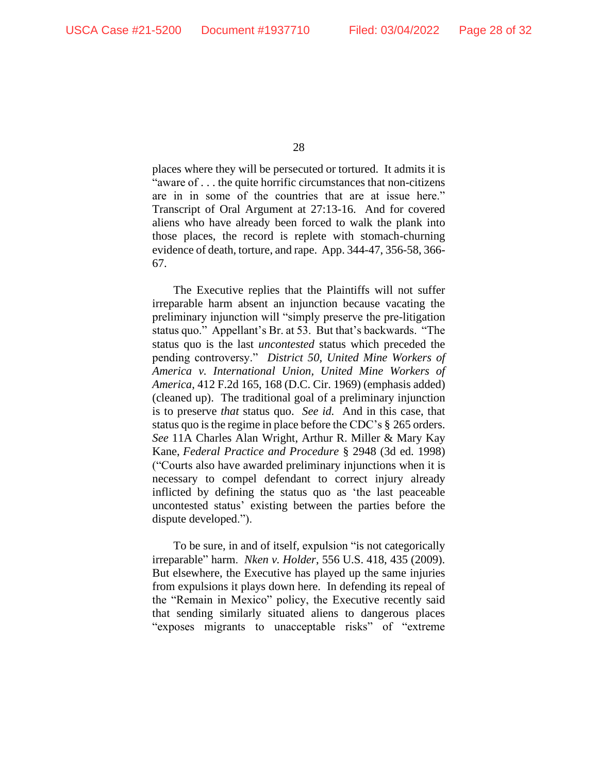places where they will be persecuted or tortured. It admits it is "aware of . . . the quite horrific circumstances that non-citizens are in in some of the countries that are at issue here." Transcript of Oral Argument at 27:13-16. And for covered aliens who have already been forced to walk the plank into those places, the record is replete with stomach-churning evidence of death, torture, and rape. App. 344-47, 356-58, 366- 67.

The Executive replies that the Plaintiffs will not suffer irreparable harm absent an injunction because vacating the preliminary injunction will "simply preserve the pre-litigation status quo." Appellant's Br. at 53. But that's backwards. "The status quo is the last *uncontested* status which preceded the pending controversy." *District 50, United Mine Workers of America v. International Union, United Mine Workers of America*, 412 F.2d 165, 168 (D.C. Cir. 1969) (emphasis added) (cleaned up). The traditional goal of a preliminary injunction is to preserve *that* status quo. *See id.* And in this case, that status quo is the regime in place before the CDC's § 265 orders. *See* 11A Charles Alan Wright, Arthur R. Miller & Mary Kay Kane, *Federal Practice and Procedure* § 2948 (3d ed. 1998) ("Courts also have awarded preliminary injunctions when it is necessary to compel defendant to correct injury already inflicted by defining the status quo as 'the last peaceable uncontested status' existing between the parties before the dispute developed.").

To be sure, in and of itself, expulsion "is not categorically irreparable" harm. *Nken v. Holder*, 556 U.S. 418, 435 (2009). But elsewhere, the Executive has played up the same injuries from expulsions it plays down here. In defending its repeal of the "Remain in Mexico" policy, the Executive recently said that sending similarly situated aliens to dangerous places "exposes migrants to unacceptable risks" of "extreme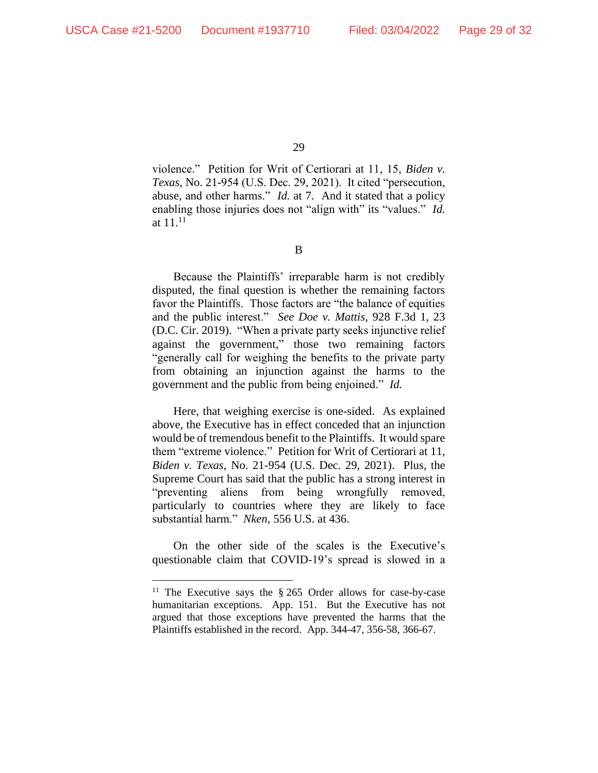violence." Petition for Writ of Certiorari at 11, 15, *Biden v. Texas*, No. 21-954 (U.S. Dec. 29, 2021). It cited "persecution, abuse, and other harms." *Id.* at 7. And it stated that a policy enabling those injuries does not "align with" its "values." *Id.*  at  $11^{11}$ 

B

Because the Plaintiffs' irreparable harm is not credibly disputed, the final question is whether the remaining factors favor the Plaintiffs. Those factors are "the balance of equities and the public interest." *See Doe v. Mattis*, 928 F.3d 1, 23 (D.C. Cir. 2019). "When a private party seeks injunctive relief against the government," those two remaining factors "generally call for weighing the benefits to the private party from obtaining an injunction against the harms to the government and the public from being enjoined." *Id.*

Here, that weighing exercise is one-sided. As explained above, the Executive has in effect conceded that an injunction would be of tremendous benefit to the Plaintiffs. It would spare them "extreme violence." Petition for Writ of Certiorari at 11, *Biden v. Texas*, No. 21-954 (U.S. Dec. 29, 2021). Plus, the Supreme Court has said that the public has a strong interest in "preventing aliens from being wrongfully removed, particularly to countries where they are likely to face substantial harm." *Nken*, 556 U.S. at 436.

On the other side of the scales is the Executive's questionable claim that COVID-19's spread is slowed in a

<sup>&</sup>lt;sup>11</sup> The Executive says the  $\S 265$  Order allows for case-by-case humanitarian exceptions. App. 151. But the Executive has not argued that those exceptions have prevented the harms that the Plaintiffs established in the record. App. 344-47, 356-58, 366-67.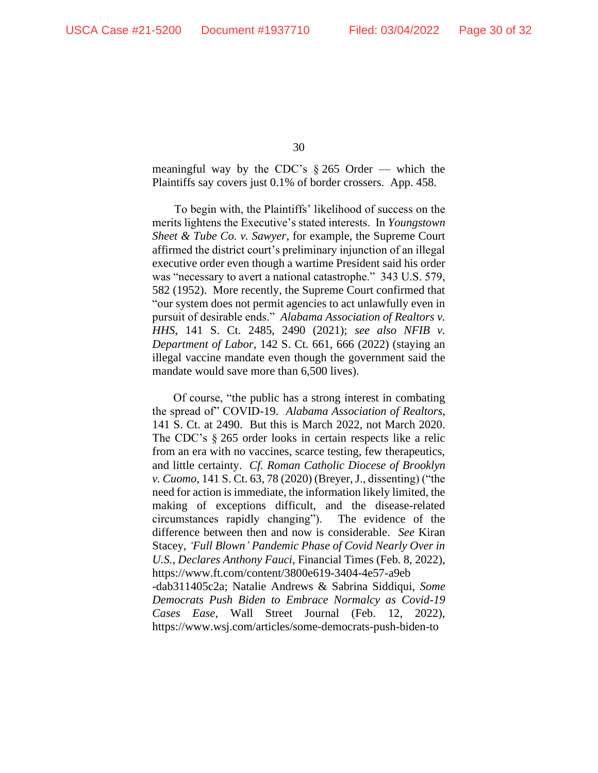meaningful way by the CDC's  $\S 265$  Order — which the Plaintiffs say covers just 0.1% of border crossers. App. 458.

To begin with, the Plaintiffs' likelihood of success on the merits lightens the Executive's stated interests. In *Youngstown Sheet & Tube Co. v. Sawyer*, for example, the Supreme Court affirmed the district court's preliminary injunction of an illegal executive order even though a wartime President said his order was "necessary to avert a national catastrophe." 343 U.S. 579, 582 (1952). More recently, the Supreme Court confirmed that "our system does not permit agencies to act unlawfully even in pursuit of desirable ends." *Alabama Association of Realtors v. HHS*, 141 S. Ct. 2485, 2490 (2021); *see also NFIB v. Department of Labor*, 142 S. Ct. 661, 666 (2022) (staying an illegal vaccine mandate even though the government said the mandate would save more than 6,500 lives).

Of course, "the public has a strong interest in combating the spread of" COVID-19. *Alabama Association of Realtors*, 141 S. Ct. at 2490. But this is March 2022, not March 2020. The CDC's § 265 order looks in certain respects like a relic from an era with no vaccines, scarce testing, few therapeutics, and little certainty. *Cf. Roman Catholic Diocese of Brooklyn v. Cuomo*, 141 S. Ct. 63, 78 (2020) (Breyer, J., dissenting) ("the need for action is immediate, the information likely limited, the making of exceptions difficult, and the disease-related circumstances rapidly changing"). The evidence of the difference between then and now is considerable. *See* Kiran Stacey, *'Full Blown' Pandemic Phase of Covid Nearly Over in U.S., Declares Anthony Fauci*, Financial Times (Feb. 8, 2022), https://www.ft.com/content/3800e619-3404-4e57-a9eb -dab311405c2a; Natalie Andrews & Sabrina Siddiqui, *Some* 

*Democrats Push Biden to Embrace Normalcy as Covid-19 Cases Ease*, Wall Street Journal (Feb. 12, 2022), https://www.wsj.com/articles/some-democrats-push-biden-to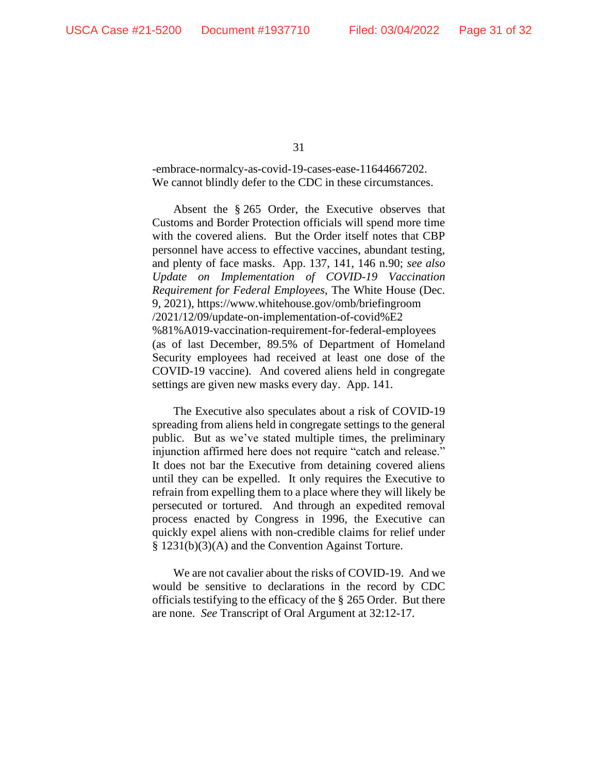-embrace-normalcy-as-covid-19-cases-ease-11644667202. We cannot blindly defer to the CDC in these circumstances.

Absent the § 265 Order, the Executive observes that Customs and Border Protection officials will spend more time with the covered aliens. But the Order itself notes that CBP personnel have access to effective vaccines, abundant testing, and plenty of face masks. App. 137, 141, 146 n.90; *see also Update on Implementation of COVID-19 Vaccination Requirement for Federal Employees*, The White House (Dec. 9, 2021), https://www.whitehouse.gov/omb/briefingroom /2021/12/09/update-on-implementation-of-covid%E2 %81%A019-vaccination-requirement-for-federal-employees (as of last December, 89.5% of Department of Homeland Security employees had received at least one dose of the COVID-19 vaccine). And covered aliens held in congregate settings are given new masks every day. App. 141.

The Executive also speculates about a risk of COVID-19 spreading from aliens held in congregate settings to the general public. But as we've stated multiple times, the preliminary injunction affirmed here does not require "catch and release." It does not bar the Executive from detaining covered aliens until they can be expelled. It only requires the Executive to refrain from expelling them to a place where they will likely be persecuted or tortured. And through an expedited removal process enacted by Congress in 1996, the Executive can quickly expel aliens with non-credible claims for relief under § 1231(b)(3)(A) and the Convention Against Torture.

We are not cavalier about the risks of COVID-19. And we would be sensitive to declarations in the record by CDC officials testifying to the efficacy of the § 265 Order. But there are none. *See* Transcript of Oral Argument at 32:12-17.